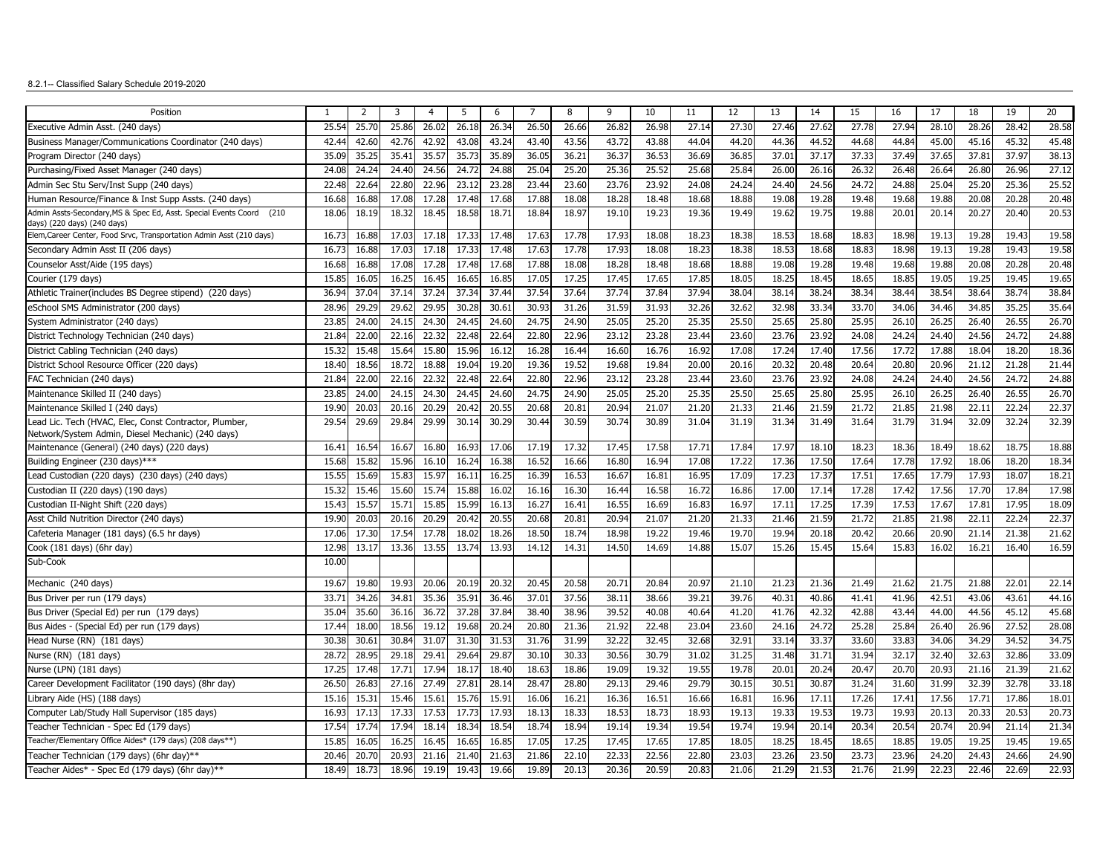## 8.2.1-- Classified Salary Schedule 2019-2020

| Position                                                                                                    | $\mathbf{1}$ | $\overline{2}$    | 3     | $\overline{4}$ | 5     | 6     | 7     | 8     | 9     | 10    | 11    | 12    | 13    | 14    | 15    | 16    | 17    | 18    | 19    | 20    |
|-------------------------------------------------------------------------------------------------------------|--------------|-------------------|-------|----------------|-------|-------|-------|-------|-------|-------|-------|-------|-------|-------|-------|-------|-------|-------|-------|-------|
| Executive Admin Asst. (240 days)                                                                            | 25.54        | 25.70             | 25.86 | 26.02          | 26.18 | 26.34 | 26.50 | 26.66 | 26.82 | 26.98 | 27.14 | 27.30 | 27.46 | 27.62 | 27.78 | 27.94 | 28.10 | 28.26 | 28.42 | 28.58 |
| Business Manager/Communications Coordinator (240 days)                                                      | 42.44        | 42.60             | 42.76 | 42.92          | 43.08 | 43.24 | 43.40 | 43.56 | 43.72 | 43.88 | 44.04 | 44.20 | 44.36 | 44.52 | 44.68 | 44.84 | 45.00 | 45.16 | 45.32 | 45.48 |
| Program Director (240 days)                                                                                 | 35.09        | 35.2!             | 35.41 | 35.57          | 35.73 | 35.89 | 36.0  | 36.21 | 36.37 | 36.53 | 36.69 | 36.85 | 37.01 | 37.17 | 37.33 | 37.49 | 37.65 | 37.81 | 37.97 | 38.13 |
| Purchasing/Fixed Asset Manager (240 days)                                                                   | 24.0         | 24.2 <sup>4</sup> | 24.4  | 24.56          | 24.7  | 24.88 | 25.04 | 25.20 | 25.36 | 25.52 | 25.68 | 25.84 | 26.00 | 26.16 | 26.32 | 26.48 | 26.64 | 26.80 | 26.96 | 27.12 |
| Admin Sec Stu Serv/Inst Supp (240 days)                                                                     | 22.4         | 22.64             | 22.80 | 22.96          | 23.12 | 23.28 | 23.44 | 23.60 | 23.76 | 23.92 | 24.08 | 24.24 | 24.40 | 24.56 | 24.72 | 24.88 | 25.04 | 25.20 | 25.36 | 25.52 |
| Human Resource/Finance & Inst Supp Assts. (240 days)                                                        | 16.68        | 16.88             | 17.08 | 17.28          | 17.48 | 17.68 | 17.88 | 18.08 | 18.28 | 18.48 | 18.68 | 18.88 | 19.08 | 19.28 | 19.48 | 19.68 | 19.88 | 20.08 | 20.28 | 20.48 |
| Admin Assts-Secondary, MS & Spec Ed, Asst. Special Events Coord<br>(210                                     | 18.06        | 18.19             | 18.32 | 18.45          | 18.58 | 18.71 | 18.84 | 18.97 | 19.10 | 19.23 | 19.36 | 19.49 | 19.62 | 19.75 | 19.88 | 20.01 | 20.14 | 20.27 | 20.40 | 20.53 |
| days) (220 days) (240 days)<br>Elem, Career Center, Food Srvc, Transportation Admin Asst (210 days)         | 16.73        | 16.88             | 17.03 | 17.18          | 17.33 | 17.48 | 17.63 | 17.78 | 17.93 | 18.08 | 18.23 | 18.38 | 18.53 | 18.68 | 18.83 | 18.98 | 19.13 | 19.28 | 19.43 | 19.58 |
| Secondary Admin Asst II (206 days)                                                                          | 16.73        | 16.88             | 17.03 | 17.18          | 17.33 | 17.48 | 17.63 | 17.78 | 17.93 | 18.08 | 18.23 | 18.38 | 18.53 | 18.68 | 18.83 | 18.98 | 19.13 | 19.28 | 19.43 | 19.58 |
| Counselor Asst/Aide (195 days)                                                                              | 16.68        | 16.8              | 17.08 | 17.28          | 17.48 | 17.68 | 17.88 | 18.08 | 18.28 | 18.48 | 18.68 | 18.88 | 19.08 | 19.28 | 19.48 | 19.68 | 19.88 | 20.08 | 20.28 | 20.48 |
| Courier (179 days)                                                                                          | 15.8         | 16.0              | 16.25 | 16.45          | 16.65 | 16.85 | 17.0  | 17.25 | 17.45 | 17.65 | 17.85 | 18.05 | 18.25 | 18.45 | 18.65 | 18.85 | 19.0  | 19.25 | 19.45 | 19.65 |
| Athletic Trainer(includes BS Degree stipend) (220 days)                                                     | 36.94        | 37.04             | 37.14 | 37.24          | 37.34 | 37.44 | 37.54 | 37.64 | 37.74 | 37.84 | 37.94 | 38.04 | 38.14 | 38.24 | 38.34 | 38.44 | 38.54 | 38.64 | 38.74 | 38.84 |
| eSchool SMS Administrator (200 days)                                                                        | 28.96        | 29.29             | 29.62 | 29.95          | 30.28 | 30.61 | 30.93 | 31.26 | 31.59 | 31.93 | 32.26 | 32.62 | 32.98 | 33.34 | 33.70 | 34.06 | 34.46 | 34.85 | 35.25 | 35.64 |
| System Administrator (240 days)                                                                             | 23.85        | 24.00             | 24.15 | 24.30          | 24.45 | 24.60 | 24.75 | 24.90 | 25.0  | 25.20 | 25.35 | 25.50 | 25.65 | 25.80 | 25.95 | 26.10 | 26.25 | 26.40 | 26.55 | 26.70 |
| District Technology Technician (240 days)                                                                   | 21.84        | 22.0              | 22.16 | 22.32          | 22.48 | 22.64 | 22.80 | 22.96 | 23.12 | 23.28 | 23.44 | 23.60 | 23.76 | 23.92 | 24.08 | 24.24 | 24.40 | 24.56 | 24.72 | 24.88 |
| District Cabling Technician (240 days)                                                                      | 15.32        | 15.4              | 15.64 | 15.80          | 15.96 | 16.12 | 16.28 | 16.44 | 16.60 | 16.76 | 16.92 | 17.08 | 17.24 | 17.40 | 17.56 | 17.72 | 17.88 | 18.04 | 18.20 | 18.36 |
| District School Resource Officer (220 days)                                                                 | 18.4         | 18.56             | 18.7  | 18.88          | 19.04 | 19.20 | 19.36 | 19.52 | 19.68 | 19.84 | 20.00 | 20.16 | 20.32 | 20.48 | 20.64 | 20.8  | 20.96 | 21.12 | 21.28 | 21.44 |
| FAC Technician (240 days)                                                                                   | 21.84        | 22.00             | 22.16 | 22.32          | 22.48 | 22.64 | 22.80 | 22.96 | 23.12 | 23.28 | 23.44 | 23.60 | 23.76 | 23.92 | 24.08 | 24.24 | 24.40 | 24.56 | 24.72 | 24.88 |
| Maintenance Skilled II (240 days)                                                                           | 23.85        | 24.00             | 24.15 | 24.30          | 24.45 | 24.60 | 24.75 | 24.90 | 25.05 | 25.20 | 25.35 | 25.50 | 25.65 | 25.80 | 25.95 | 26.10 | 26.25 | 26.40 | 26.55 | 26.70 |
| Maintenance Skilled I (240 days)                                                                            | 19.9         | 20.0              | 20.16 | 20.29          | 20.42 | 20.55 | 20.68 | 20.81 | 20.94 | 21.07 | 21.20 | 21.33 | 21.46 | 21.59 | 21.72 | 21.85 | 21.98 | 22.11 | 22.24 | 22.37 |
| Lead Lic. Tech (HVAC, Elec, Const Contractor, Plumber,<br>Network/System Admin, Diesel Mechanic) (240 days) | 29.54        | 29.69             | 29.84 | 29.99          | 30.14 | 30.29 | 30.44 | 30.59 | 30.74 | 30.89 | 31.04 | 31.19 | 31.34 | 31.49 | 31.64 | 31.79 | 31.94 | 32.09 | 32.24 | 32.39 |
| Maintenance (General) (240 days) (220 days)                                                                 | 16.41        | 16.54             | 16.67 | 16.80          | 16.93 | 17.06 | 17.19 | 17.32 | 17.45 | 17.58 | 17.71 | 17.84 | 17.97 | 18.10 | 18.23 | 18.36 | 18.49 | 18.62 | 18.75 | 18.88 |
| Building Engineer (230 days)***                                                                             | 15.68        | 15.82             | 15.96 | 16.10          | 16.24 | 16.38 | 16.52 | 16.66 | 16.80 | 16.94 | 17.08 | 17.22 | 17.36 | 17.50 | 17.64 | 17.78 | 17.92 | 18.06 | 18.20 | 18.34 |
| Lead Custodian (220 days) (230 days) (240 days)                                                             | 15.55        | 15.69             | 15.83 | 15.97          | 16.11 | 16.25 | 16.39 | 16.53 | 16.67 | 16.81 | 16.95 | 17.09 | 17.23 | 17.37 | 17.51 | 17.65 | 17.79 | 17.93 | 18.07 | 18.21 |
| Custodian II (220 days) (190 days)                                                                          | 15.32        | 15.46             | 15.60 | 15.74          | 15.88 | 16.02 | 16.16 | 16.30 | 16.44 | 16.58 | 16.72 | 16.86 | 17.00 | 17.14 | 17.28 | 17.42 | 17.56 | 17.70 | 17.84 | 17.98 |
| Custodian II-Night Shift (220 days)                                                                         | 15.4         | 15.5              | 15.7  | 15.85          | 15.99 | 16.13 | 16.2  | 16.41 | 16.55 | 16.69 | 16.83 | 16.97 | 17.11 | 17.25 | 17.39 | 17.53 | 17.67 | 17.81 | 17.95 | 18.09 |
| Asst Child Nutrition Director (240 days)                                                                    | 19.90        | 20.0              | 20.16 | 20.29          | 20.42 | 20.55 | 20.68 | 20.81 | 20.94 | 21.07 | 21.20 | 21.33 | 21.46 | 21.59 | 21.72 | 21.8  | 21.98 | 22.11 | 22.24 | 22.37 |
| Cafeteria Manager (181 days) (6.5 hr days)                                                                  | 17.06        | 17.30             | 17.54 | 17.78          | 18.02 | 18.26 | 18.5  | 18.74 | 18.98 | 19.22 | 19.46 | 19.70 | 19.94 | 20.18 | 20.42 | 20.66 | 20.90 | 21.14 | 21.38 | 21.62 |
| Cook (181 days) (6hr day)                                                                                   | 12.98        | 13.17             | 13.36 | 13.55          | 13.74 | 13.93 | 14.12 | 14.31 | 14.50 | 14.69 | 14.88 | 15.07 | 15.26 | 15.45 | 15.64 | 15.83 | 16.02 | 16.21 | 16.40 | 16.59 |
| Sub-Cook                                                                                                    | 10.00        |                   |       |                |       |       |       |       |       |       |       |       |       |       |       |       |       |       |       |       |
| Mechanic (240 days)                                                                                         | 19.67        | 19.80             | 19.93 | 20.06          | 20.19 | 20.32 | 20.45 | 20.58 | 20.71 | 20.84 | 20.97 | 21.10 | 21.23 | 21.36 | 21.49 | 21.62 | 21.75 | 21.88 | 22.01 | 22.14 |
| Bus Driver per run (179 days)                                                                               | 33.7         | 34.26             | 34.81 | 35.36          | 35.91 | 36.46 | 37.01 | 37.56 | 38.1  | 38.66 | 39.21 | 39.76 | 40.31 | 40.86 | 41.41 | 41.96 | 42.51 | 43.06 | 43.61 | 44.16 |
| Bus Driver (Special Ed) per run (179 days)                                                                  | 35.04        | 35.60             | 36.16 | 36.72          | 37.28 | 37.84 | 38.40 | 38.96 | 39.52 | 40.08 | 40.64 | 41.20 | 41.76 | 42.32 | 42.88 | 43.44 | 44.00 | 44.56 | 45.12 | 45.68 |
| Bus Aides - (Special Ed) per run (179 days)                                                                 | 17.44        | 18.0              | 18.56 | 19.1           | 19.68 | 20.24 | 20.8  | 21.36 | 21.92 | 22.48 | 23.04 | 23.60 | 24.16 | 24.72 | 25.28 | 25.84 | 26.40 | 26.96 | 27.52 | 28.08 |
| Head Nurse (RN) (181 days)                                                                                  | 30.38        | 30.6              | 30.84 | 31.07          | 31.30 | 31.53 | 31.76 | 31.99 | 32.22 | 32.45 | 32.68 | 32.91 | 33.14 | 33.37 | 33.60 | 33.83 | 34.06 | 34.29 | 34.52 | 34.75 |
| Nurse (RN) (181 days)                                                                                       | 28.72        | 28.95             | 29.18 | 29.41          | 29.64 | 29.87 | 30.10 | 30.33 | 30.56 | 30.79 | 31.02 | 31.25 | 31.48 | 31.71 | 31.94 | 32.1  | 32.40 | 32.63 | 32.86 | 33.09 |
| Nurse (LPN) (181 days)                                                                                      | 17.25        | 17.48             | 17.71 | 17.94          | 18.1  | 18.40 | 18.63 | 18.86 | 19.09 | 19.32 | 19.55 | 19.78 | 20.01 | 20.24 | 20.47 | 20.70 | 20.93 | 21.16 | 21.39 | 21.62 |
| Career Development Facilitator (190 days) (8hr day)                                                         | 26.50        | 26.8              | 27.16 | 27.49          | 27.81 | 28.14 | 28.4  | 28.80 | 29.13 | 29.46 | 29.79 | 30.15 | 30.51 | 30.8  | 31.24 | 31.6  | 31.99 | 32.39 | 32.78 | 33.18 |
| Library Aide (HS) (188 days)                                                                                | 15.1(        | 15.3              | 15.46 | 15.61          | 15.76 | 15.91 | 16.06 | 16.21 | 16.36 | 16.51 | 16.66 | 16.81 | 16.96 | 17.1  | 17.26 | 17.41 | 17.56 | 17.71 | 17.86 | 18.01 |
| Computer Lab/Study Hall Supervisor (185 days)                                                               | 16.9         | 17.1              | 17.33 | 17.53          | 17.73 | 17.93 | 18.1  | 18.33 | 18.5  | 18.73 | 18.93 | 19.13 | 19.33 | 19.5  | 19.73 | 19.9  | 20.13 | 20.33 | 20.53 | 20.73 |
| Teacher Technician - Spec Ed (179 days)                                                                     | 17.54        | 17.7 <sup>°</sup> | 17.94 | 18.14          | 18.34 | 18.54 | 18.74 | 18.94 | 19.14 | 19.34 | 19.54 | 19.74 | 19.94 | 20.14 | 20.34 | 20.54 | 20.74 | 20.94 | 21.14 | 21.34 |
| Teacher/Elementary Office Aides* (179 days) (208 days**)                                                    | 15.85        | 16.05             | 16.25 | 16.45          | 16.65 | 16.85 | 17.05 | 17.25 | 17.45 | 17.65 | 17.85 | 18.05 | 18.25 | 18.45 | 18.65 | 18.85 | 19.05 | 19.25 | 19.45 | 19.65 |
| Teacher Technician (179 days) (6hr day)**                                                                   | 20.46        | 20.70             | 20.93 | 21.16          | 21.40 | 21.63 | 21.86 | 22.10 | 22.33 | 22.56 | 22.80 | 23.03 | 23.26 | 23.50 | 23.73 | 23.96 | 24.20 | 24.43 | 24.66 | 24.90 |
| Teacher Aides* - Spec Ed (179 days) (6hr day)**                                                             | 18.49        | 18.7              | 18.96 | 19.19          | 19.43 | 19.66 | 19.89 | 20.13 | 20.36 | 20.59 | 20.83 | 21.06 | 21.29 | 21.53 | 21.76 | 21.99 | 22.23 | 22.46 | 22.69 | 22.93 |